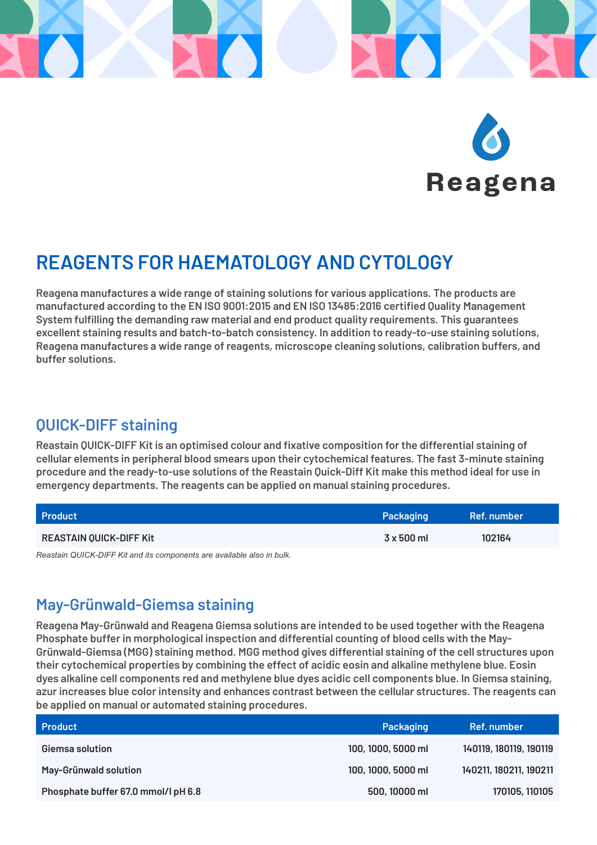

# **REAGENTS FOR HAEMATOLOGY AND CYTOLOGY**

**Reagena manufactures a wide range of staining solutions for various applications. The products are manufactured according to the EN ISO 9001:2015 and EN ISO 13485:2016 certified Quality Management System fulfilling the demanding raw material and end product quality requirements. This guarantees excellent staining results and batch-to-batch consistency. In addition to ready-to-use staining solutions, Reagena manufactures a wide range of reagents, microscope cleaning solutions, calibration buffers, and buffer solutions.**

#### **QUICK-DIFF staining**

**Reastain QUICK-DIFF Kit is an optimised colour and fixative composition for the differential staining of cellular elements in peripheral blood smears upon their cytochemical features. The fast 3-minute staining procedure and the ready-to-use solutions of the Reastain Quick-Diff Kit make this method ideal for use in emergency departments. The reagents can be applied on manual staining procedures.**

| <b>Product</b>                 | Packaging  | Ref. number |
|--------------------------------|------------|-------------|
| <b>REASTAIN QUICK-DIFF Kit</b> | 3 x 500 ml | 102164      |
| .                              |            |             |

*Reastain QUICK-DIFF Kit and its components are available also in bulk.*

### **May-Grünwald-Giemsa staining**

**Reagena May-Grünwald and Reagena Giemsa solutions are intended to be used together with the Reagena Phosphate buffer in morphological inspection and differential counting of blood cells with the May-Grünwald-Giemsa (MGG) staining method. MGG method gives differential staining of the cell structures upon their cytochemical properties by combining the effect of acidic eosin and alkaline methylene blue. Eosin dyes alkaline cell components red and methylene blue dyes acidic cell components blue. In Giemsa staining, azur increases blue color intensity and enhances contrast between the cellular structures. The reagents can be applied on manual or automated staining procedures.**

| <b>Product</b>                      | Packaging          | Ref. number            |
|-------------------------------------|--------------------|------------------------|
| Giemsa solution                     | 100, 1000, 5000 ml | 140119, 180119, 190119 |
| May-Grünwald solution               | 100, 1000, 5000 ml | 140211, 180211, 190211 |
| Phosphate buffer 67.0 mmol/l pH 6.8 | 500, 10000 ml      | 170105, 110105         |